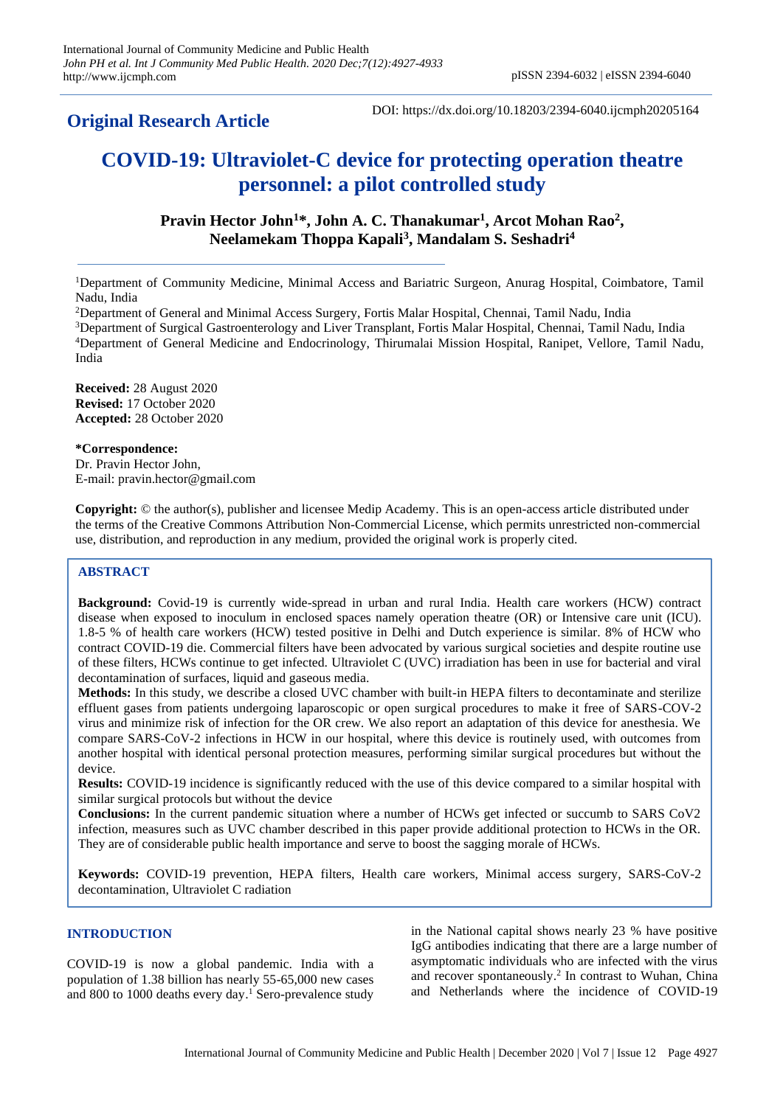# **Original Research Article**

# **COVID-19: Ultraviolet-C device for protecting operation theatre personnel: a pilot controlled study**

# **Pravin Hector John<sup>1</sup>\*, John A. C. Thanakumar<sup>1</sup> , Arcot Mohan Rao<sup>2</sup> , Neelamekam Thoppa Kapali<sup>3</sup> , Mandalam S. Seshadri<sup>4</sup>**

<sup>1</sup>Department of Community Medicine, Minimal Access and Bariatric Surgeon, Anurag Hospital, Coimbatore, Tamil Nadu, India

<sup>2</sup>Department of General and Minimal Access Surgery, Fortis Malar Hospital, Chennai, Tamil Nadu, India

<sup>3</sup>Department of Surgical Gastroenterology and Liver Transplant, Fortis Malar Hospital, Chennai, Tamil Nadu, India <sup>4</sup>Department of General Medicine and Endocrinology, Thirumalai Mission Hospital, Ranipet, Vellore, Tamil Nadu, India

**Received:** 28 August 2020 **Revised:** 17 October 2020 **Accepted:** 28 October 2020

**\*Correspondence:**

Dr. Pravin Hector John, E-mail: pravin.hector@gmail.com

**Copyright:** © the author(s), publisher and licensee Medip Academy. This is an open-access article distributed under the terms of the Creative Commons Attribution Non-Commercial License, which permits unrestricted non-commercial use, distribution, and reproduction in any medium, provided the original work is properly cited.

### **ABSTRACT**

**Background:** Covid-19 is currently wide-spread in urban and rural India. Health care workers (HCW) contract disease when exposed to inoculum in enclosed spaces namely operation theatre (OR) or Intensive care unit (ICU). 1.8-5 % of health care workers (HCW) tested positive in Delhi and Dutch experience is similar. 8% of HCW who contract COVID-19 die. Commercial filters have been advocated by various surgical societies and despite routine use of these filters, HCWs continue to get infected. Ultraviolet C (UVC) irradiation has been in use for bacterial and viral decontamination of surfaces, liquid and gaseous media.

**Methods:** In this study, we describe a closed UVC chamber with built-in HEPA filters to decontaminate and sterilize effluent gases from patients undergoing laparoscopic or open surgical procedures to make it free of SARS-COV-2 virus and minimize risk of infection for the OR crew. We also report an adaptation of this device for anesthesia. We compare SARS-CoV-2 infections in HCW in our hospital, where this device is routinely used, with outcomes from another hospital with identical personal protection measures, performing similar surgical procedures but without the device.

**Results:** COVID-19 incidence is significantly reduced with the use of this device compared to a similar hospital with similar surgical protocols but without the device

**Conclusions:** In the current pandemic situation where a number of HCWs get infected or succumb to SARS CoV2 infection, measures such as UVC chamber described in this paper provide additional protection to HCWs in the OR. They are of considerable public health importance and serve to boost the sagging morale of HCWs.

**Keywords:** COVID-19 prevention, HEPA filters, Health care workers, Minimal access surgery, SARS-CoV-2 decontamination, Ultraviolet C radiation

#### **INTRODUCTION**

COVID-19 is now a global pandemic. India with a population of 1.38 billion has nearly 55-65,000 new cases and 800 to 1000 deaths every day. <sup>1</sup> Sero-prevalence study in the National capital shows nearly 23 % have positive IgG antibodies indicating that there are a large number of asymptomatic individuals who are infected with the virus and recover spontaneously. 2 In contrast to Wuhan, China and Netherlands where the incidence of COVID-19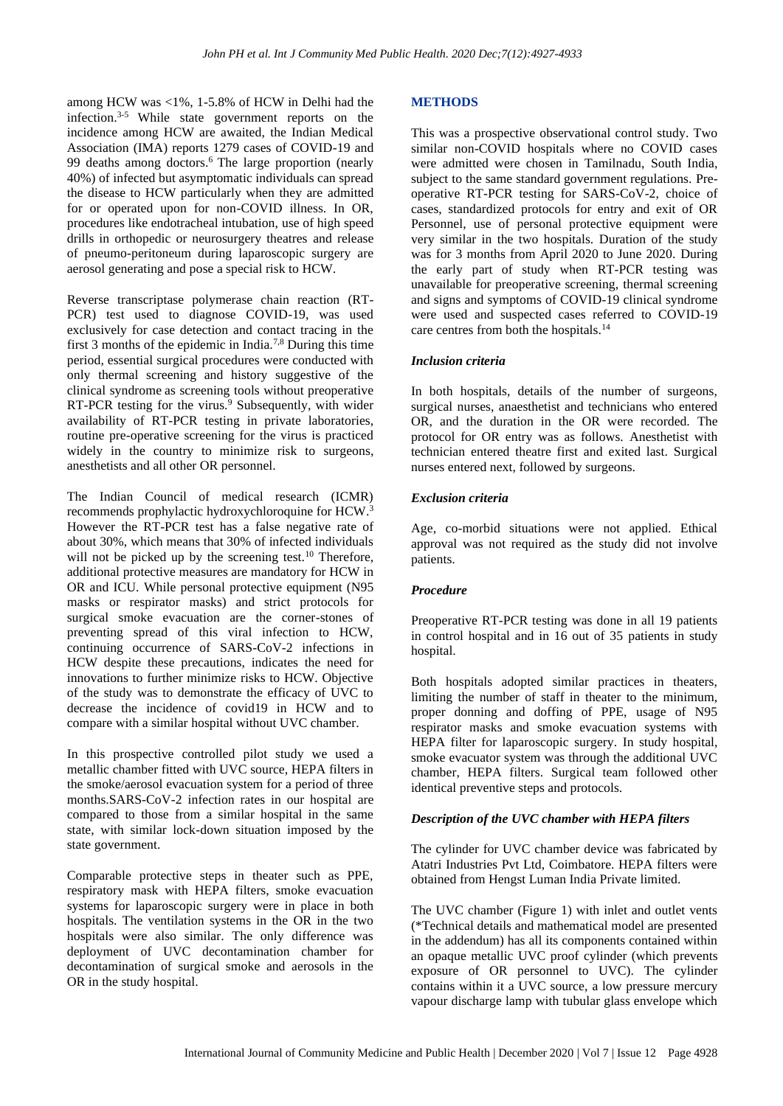among HCW was <1%, 1-5.8% of HCW in Delhi had the infection. 3-5 While state government reports on the incidence among HCW are awaited, the Indian Medical Association (IMA) reports 1279 cases of COVID-19 and 99 deaths among doctors. <sup>6</sup> The large proportion (nearly 40%) of infected but asymptomatic individuals can spread the disease to HCW particularly when they are admitted for or operated upon for non-COVID illness. In OR, procedures like endotracheal intubation, use of high speed drills in orthopedic or neurosurgery theatres and release of pneumo-peritoneum during laparoscopic surgery are aerosol generating and pose a special risk to HCW.

Reverse transcriptase polymerase chain reaction (RT-PCR) test used to diagnose COVID-19, was used exclusively for case detection and contact tracing in the first 3 months of the epidemic in India.7,8 During this time period, essential surgical procedures were conducted with only thermal screening and history suggestive of the clinical syndrome as screening tools without preoperative RT-PCR testing for the virus.<sup>9</sup> Subsequently, with wider availability of RT-PCR testing in private laboratories, routine pre-operative screening for the virus is practiced widely in the country to minimize risk to surgeons, anesthetists and all other OR personnel.

The Indian Council of medical research (ICMR) recommends prophylactic hydroxychloroquine for HCW. 3 However the RT-PCR test has a false negative rate of about 30%, which means that 30% of infected individuals will not be picked up by the screening test.<sup>10</sup> Therefore, additional protective measures are mandatory for HCW in OR and ICU. While personal protective equipment (N95 masks or respirator masks) and strict protocols for surgical smoke evacuation are the corner-stones of preventing spread of this viral infection to HCW, continuing occurrence of SARS-CoV-2 infections in HCW despite these precautions, indicates the need for innovations to further minimize risks to HCW. Objective of the study was to demonstrate the efficacy of UVC to decrease the incidence of covid19 in HCW and to compare with a similar hospital without UVC chamber.

In this prospective controlled pilot study we used a metallic chamber fitted with UVC source, HEPA filters in the smoke/aerosol evacuation system for a period of three months.SARS-CoV-2 infection rates in our hospital are compared to those from a similar hospital in the same state, with similar lock-down situation imposed by the state government.

Comparable protective steps in theater such as PPE, respiratory mask with HEPA filters, smoke evacuation systems for laparoscopic surgery were in place in both hospitals. The ventilation systems in the OR in the two hospitals were also similar. The only difference was deployment of UVC decontamination chamber for decontamination of surgical smoke and aerosols in the OR in the study hospital.

# **METHODS**

This was a prospective observational control study. Two similar non-COVID hospitals where no COVID cases were admitted were chosen in Tamilnadu, South India, subject to the same standard government regulations. Preoperative RT-PCR testing for SARS-CoV-2, choice of cases, standardized protocols for entry and exit of OR Personnel, use of personal protective equipment were very similar in the two hospitals. Duration of the study was for 3 months from April 2020 to June 2020. During the early part of study when RT-PCR testing was unavailable for preoperative screening, thermal screening and signs and symptoms of COVID-19 clinical syndrome were used and suspected cases referred to COVID-19 care centres from both the hospitals.<sup>14</sup>

# *Inclusion criteria*

In both hospitals, details of the number of surgeons, surgical nurses, anaesthetist and technicians who entered OR, and the duration in the OR were recorded. The protocol for OR entry was as follows. Anesthetist with technician entered theatre first and exited last. Surgical nurses entered next, followed by surgeons.

# *Exclusion criteria*

Age, co-morbid situations were not applied. Ethical approval was not required as the study did not involve patients.

### *Procedure*

Preoperative RT-PCR testing was done in all 19 patients in control hospital and in 16 out of 35 patients in study hospital.

Both hospitals adopted similar practices in theaters, limiting the number of staff in theater to the minimum, proper donning and doffing of PPE, usage of N95 respirator masks and smoke evacuation systems with HEPA filter for laparoscopic surgery. In study hospital, smoke evacuator system was through the additional UVC chamber, HEPA filters. Surgical team followed other identical preventive steps and protocols.

# *Description of the UVC chamber with HEPA filters*

The cylinder for UVC chamber device was fabricated by Atatri Industries Pvt Ltd, Coimbatore. HEPA filters were obtained from Hengst Luman India Private limited.

The UVC chamber (Figure 1) with inlet and outlet vents (\*Technical details and mathematical model are presented in the addendum) has all its components contained within an opaque metallic UVC proof cylinder (which prevents exposure of OR personnel to UVC). The cylinder contains within it a UVC source, a low pressure mercury vapour discharge lamp with tubular glass envelope which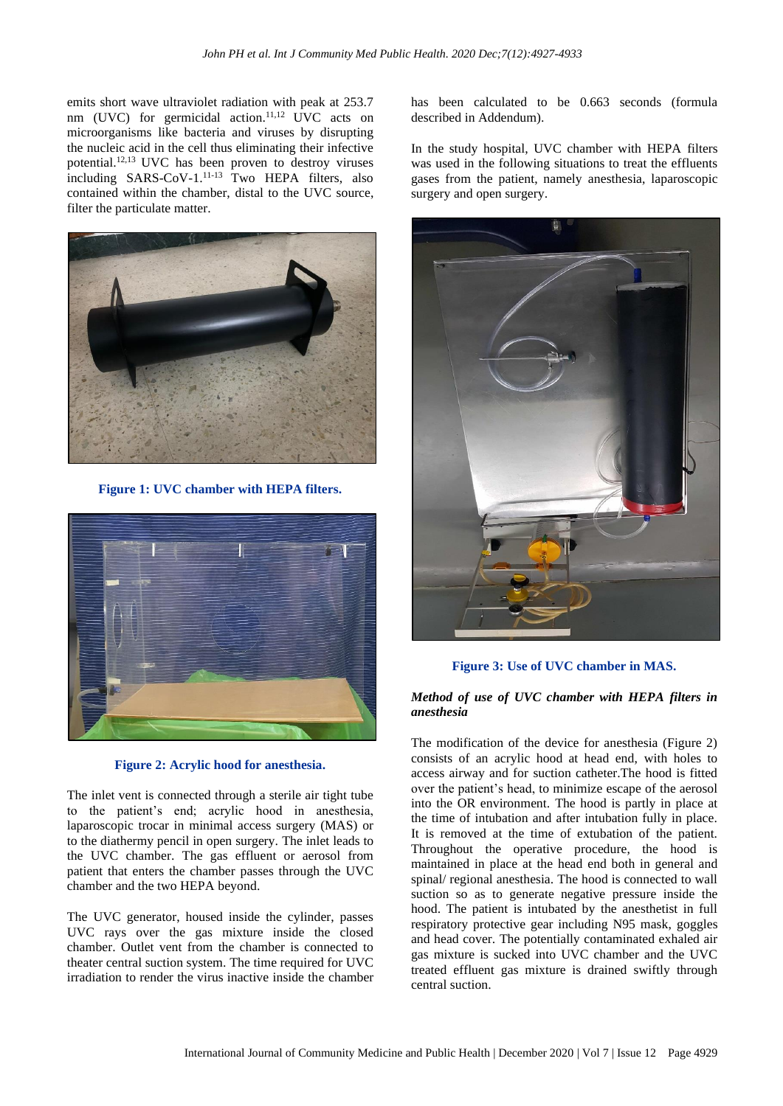emits short wave ultraviolet radiation with peak at 253.7 nm (UVC) for germicidal action. 11,12 UVC acts on microorganisms like bacteria and viruses by disrupting the nucleic acid in the cell thus eliminating their infective potential. 12,13 UVC has been proven to destroy viruses including SARS-CoV-1. 11-13 Two HEPA filters, also contained within the chamber, distal to the UVC source, filter the particulate matter.



**Figure 1: UVC chamber with HEPA filters.**



**Figure 2: Acrylic hood for anesthesia.**

The inlet vent is connected through a sterile air tight tube to the patient's end; acrylic hood in anesthesia, laparoscopic trocar in minimal access surgery (MAS) or to the diathermy pencil in open surgery. The inlet leads to the UVC chamber. The gas effluent or aerosol from patient that enters the chamber passes through the UVC chamber and the two HEPA beyond.

The UVC generator, housed inside the cylinder, passes UVC rays over the gas mixture inside the closed chamber. Outlet vent from the chamber is connected to theater central suction system. The time required for UVC irradiation to render the virus inactive inside the chamber has been calculated to be 0.663 seconds (formula described in Addendum).

In the study hospital, UVC chamber with HEPA filters was used in the following situations to treat the effluents gases from the patient, namely anesthesia, laparoscopic surgery and open surgery.



**Figure 3: Use of UVC chamber in MAS.**

## *Method of use of UVC chamber with HEPA filters in anesthesia*

The modification of the device for anesthesia (Figure 2) consists of an acrylic hood at head end, with holes to access airway and for suction catheter.The hood is fitted over the patient's head, to minimize escape of the aerosol into the OR environment. The hood is partly in place at the time of intubation and after intubation fully in place. It is removed at the time of extubation of the patient. Throughout the operative procedure, the hood is maintained in place at the head end both in general and spinal/ regional anesthesia. The hood is connected to wall suction so as to generate negative pressure inside the hood. The patient is intubated by the anesthetist in full respiratory protective gear including N95 mask, goggles and head cover. The potentially contaminated exhaled air gas mixture is sucked into UVC chamber and the UVC treated effluent gas mixture is drained swiftly through central suction.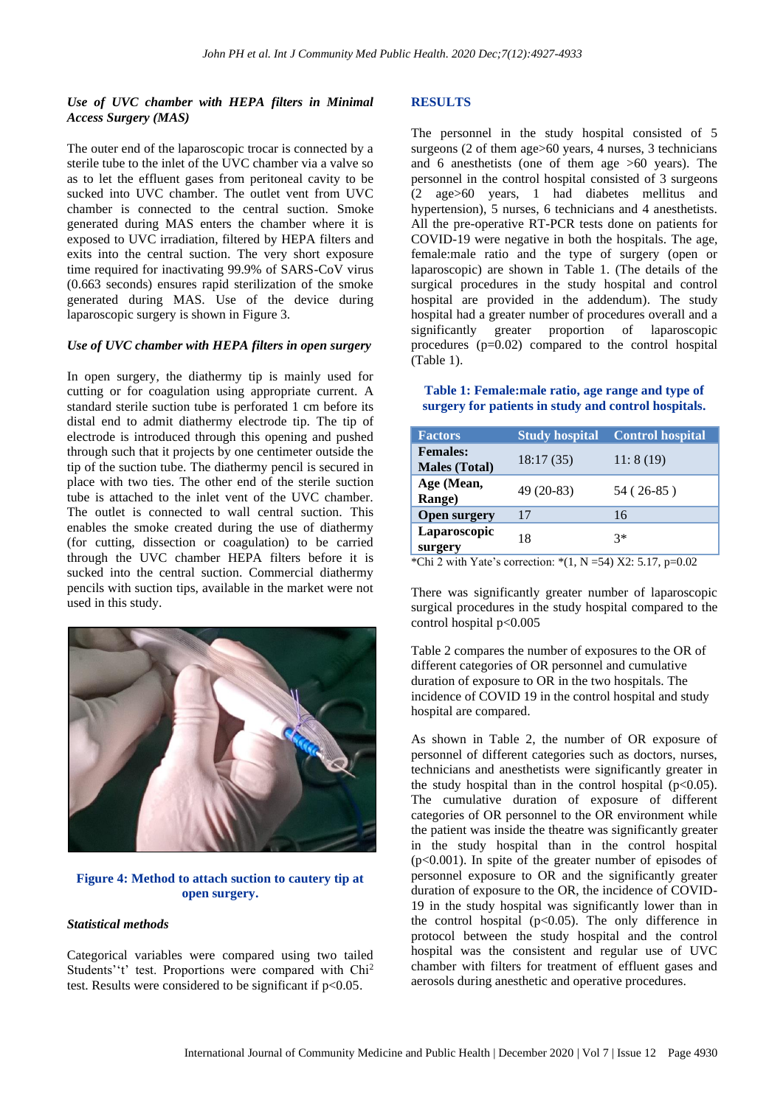# *Use of UVC chamber with HEPA filters in Minimal Access Surgery (MAS)*

The outer end of the laparoscopic trocar is connected by a sterile tube to the inlet of the UVC chamber via a valve so as to let the effluent gases from peritoneal cavity to be sucked into UVC chamber. The outlet vent from UVC chamber is connected to the central suction. Smoke generated during MAS enters the chamber where it is exposed to UVC irradiation, filtered by HEPA filters and exits into the central suction. The very short exposure time required for inactivating 99.9% of SARS-CoV virus (0.663 seconds) ensures rapid sterilization of the smoke generated during MAS. Use of the device during laparoscopic surgery is shown in Figure 3.

## *Use of UVC chamber with HEPA filters in open surgery*

In open surgery, the diathermy tip is mainly used for cutting or for coagulation using appropriate current. A standard sterile suction tube is perforated 1 cm before its distal end to admit diathermy electrode tip. The tip of electrode is introduced through this opening and pushed through such that it projects by one centimeter outside the tip of the suction tube. The diathermy pencil is secured in place with two ties. The other end of the sterile suction tube is attached to the inlet vent of the UVC chamber. The outlet is connected to wall central suction. This enables the smoke created during the use of diathermy (for cutting, dissection or coagulation) to be carried through the UVC chamber HEPA filters before it is sucked into the central suction. Commercial diathermy pencils with suction tips, available in the market were not used in this study.



# **Figure 4: Method to attach suction to cautery tip at open surgery.**

### *Statistical methods*

Categorical variables were compared using two tailed Students''t' test. Proportions were compared with Chi<sup>2</sup> test. Results were considered to be significant if  $p<0.05$ .

# **RESULTS**

The personnel in the study hospital consisted of 5 surgeons (2 of them age>60 years, 4 nurses, 3 technicians and 6 anesthetists (one of them age >60 years). The personnel in the control hospital consisted of 3 surgeons (2 age>60 years, 1 had diabetes mellitus and hypertension), 5 nurses, 6 technicians and 4 anesthetists. All the pre-operative RT-PCR tests done on patients for COVID-19 were negative in both the hospitals. The age, female:male ratio and the type of surgery (open or laparoscopic) are shown in Table 1. (The details of the surgical procedures in the study hospital and control hospital are provided in the addendum). The study hospital had a greater number of procedures overall and a significantly greater proportion of laparoscopic procedures (p=0.02) compared to the control hospital (Table 1).

**Table 1: Female:male ratio, age range and type of surgery for patients in study and control hospitals.**

| <b>Factors</b>                          | <b>Study hospital</b> | <b>Control hospital</b> |  |
|-----------------------------------------|-----------------------|-------------------------|--|
| <b>Females:</b><br><b>Males</b> (Total) | 18:17(35)             | 11:8(19)                |  |
| Age (Mean,<br>Range)                    | 49 (20-83)            | 54 (26-85)              |  |
| <b>Open surgery</b>                     | 17                    | 16                      |  |
| Laparoscopic<br>surgery                 | 18                    | $3*$                    |  |

\*Chi 2 with Yate's correction: \*(1, N = 54) X2: 5.17, p=0.02

There was significantly greater number of laparoscopic surgical procedures in the study hospital compared to the control hospital p<0.005

Table 2 compares the number of exposures to the OR of different categories of OR personnel and cumulative duration of exposure to OR in the two hospitals. The incidence of COVID 19 in the control hospital and study hospital are compared.

As shown in Table 2, the number of OR exposure of personnel of different categories such as doctors, nurses, technicians and anesthetists were significantly greater in the study hospital than in the control hospital  $(p<0.05)$ . The cumulative duration of exposure of different categories of OR personnel to the OR environment while the patient was inside the theatre was significantly greater in the study hospital than in the control hospital (p<0.001). In spite of the greater number of episodes of personnel exposure to OR and the significantly greater duration of exposure to the OR, the incidence of COVID-19 in the study hospital was significantly lower than in the control hospital  $(p<0.05)$ . The only difference in protocol between the study hospital and the control hospital was the consistent and regular use of UVC chamber with filters for treatment of effluent gases and aerosols during anesthetic and operative procedures.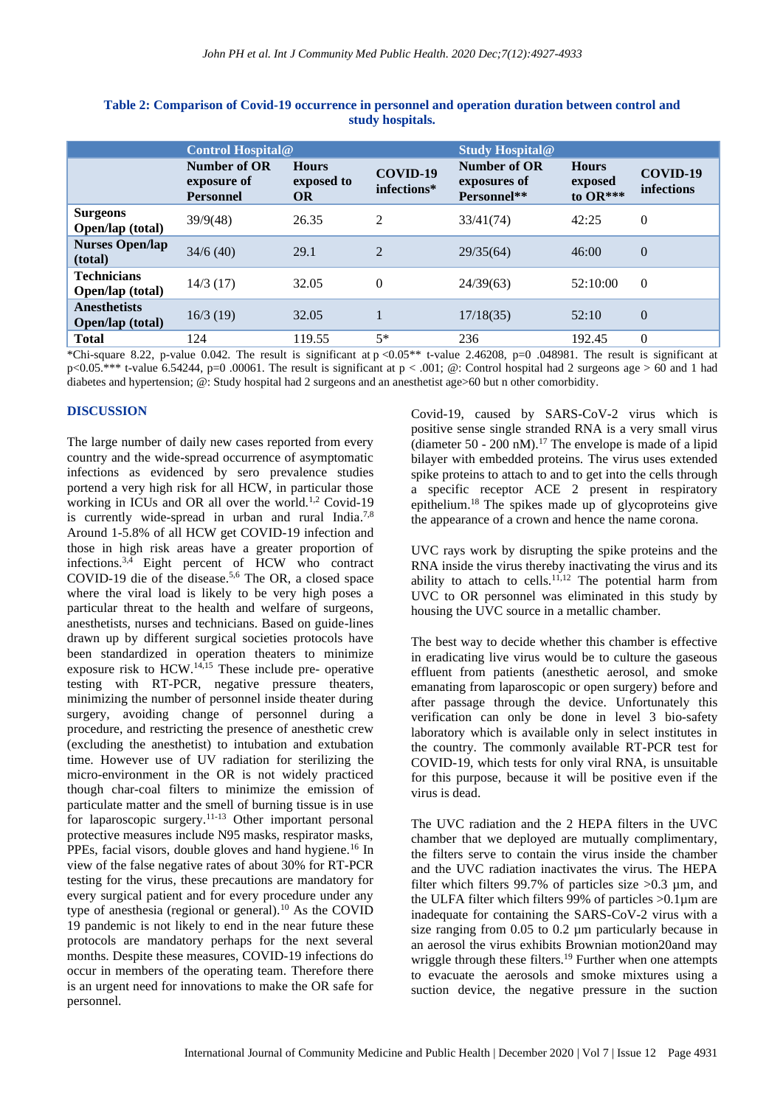|                                                | <b>Control Hospital@</b>                        |                                         |                         | <b>Study Hospital@</b>                      |                                     |                        |
|------------------------------------------------|-------------------------------------------------|-----------------------------------------|-------------------------|---------------------------------------------|-------------------------------------|------------------------|
|                                                | Number of OR<br>exposure of<br><b>Personnel</b> | <b>Hours</b><br>exposed to<br><b>OR</b> | COVID-19<br>infections* | Number of OR<br>exposures of<br>Personnel** | <b>Hours</b><br>exposed<br>to OR*** | COVID-19<br>infections |
| <b>Surgeons</b><br>Open/lap (total)            | 39/9(48)                                        | 26.35                                   | $\overline{2}$          | 33/41(74)                                   | 42:25                               | $\theta$               |
| <b>Nurses Open/lap</b><br>(total)              | 34/6(40)                                        | 29.1                                    | $\overline{2}$          | 29/35(64)                                   | 46:00                               | $\overline{0}$         |
| <b>Technicians</b><br><b>Open/lap</b> (total)  | 14/3(17)                                        | 32.05                                   | $\Omega$                | 24/39(63)                                   | 52:10:00                            | $\Omega$               |
| <b>Anesthetists</b><br><b>Open/lap (total)</b> | 16/3(19)                                        | 32.05                                   |                         | 17/18(35)                                   | 52:10                               | $\overline{0}$         |
| <b>Total</b>                                   | 124                                             | 119.55                                  | $5*$                    | 236                                         | 192.45                              | $\theta$               |

**Table 2: Comparison of Covid-19 occurrence in personnel and operation duration between control and study hospitals.**

\*Chi-square 8.22, p-value 0.042. The result is significant at  $p < 0.05**$  t-value 2.46208, p=0.048981. The result is significant at  $p<0.05$ .\*\*\* t-value 6.54244, p=0 .00061. The result is significant at  $p<0.01$ ; @: Control hospital had 2 surgeons age > 60 and 1 had diabetes and hypertension; @: Study hospital had 2 surgeons and an anesthetist age>60 but n other comorbidity.

#### **DISCUSSION**

The large number of daily new cases reported from every country and the wide-spread occurrence of asymptomatic infections as evidenced by sero prevalence studies portend a very high risk for all HCW, in particular those working in ICUs and OR all over the world.<sup>1,2</sup> Covid-19 is currently wide-spread in urban and rural India.<sup>7,8</sup> Around 1-5.8% of all HCW get COVID-19 infection and those in high risk areas have a greater proportion of infections. 3,4 Eight percent of HCW who contract COVID-19 die of the disease. 5,6 The OR, a closed space where the viral load is likely to be very high poses a particular threat to the health and welfare of surgeons, anesthetists, nurses and technicians. Based on guide-lines drawn up by different surgical societies protocols have been standardized in operation theaters to minimize exposure risk to  $HCW<sub>.14,15</sub>$  These include pre- operative testing with RT-PCR, negative pressure theaters, minimizing the number of personnel inside theater during surgery, avoiding change of personnel during a procedure, and restricting the presence of anesthetic crew (excluding the anesthetist) to intubation and extubation time. However use of UV radiation for sterilizing the micro-environment in the OR is not widely practiced though char-coal filters to minimize the emission of particulate matter and the smell of burning tissue is in use for laparoscopic surgery.11-13 Other important personal protective measures include N95 masks, respirator masks, PPEs, facial visors, double gloves and hand hygiene.<sup>16</sup> In view of the false negative rates of about 30% for RT-PCR testing for the virus, these precautions are mandatory for every surgical patient and for every procedure under any type of anesthesia (regional or general).<sup>10</sup> As the COVID 19 pandemic is not likely to end in the near future these protocols are mandatory perhaps for the next several months. Despite these measures, COVID-19 infections do occur in members of the operating team. Therefore there is an urgent need for innovations to make the OR safe for personnel.

Covid-19, caused by SARS-CoV-2 virus which is positive sense single stranded RNA is a very small virus (diameter 50 - 200 nM).<sup>17</sup> The envelope is made of a lipid bilayer with embedded proteins. The virus uses extended spike proteins to attach to and to get into the cells through a specific receptor ACE 2 present in respiratory epithelium. <sup>18</sup> The spikes made up of glycoproteins give the appearance of a crown and hence the name corona.

UVC rays work by disrupting the spike proteins and the RNA inside the virus thereby inactivating the virus and its ability to attach to cells.<sup>11,12</sup> The potential harm from UVC to OR personnel was eliminated in this study by housing the UVC source in a metallic chamber.

The best way to decide whether this chamber is effective in eradicating live virus would be to culture the gaseous effluent from patients (anesthetic aerosol, and smoke emanating from laparoscopic or open surgery) before and after passage through the device. Unfortunately this verification can only be done in level 3 bio-safety laboratory which is available only in select institutes in the country. The commonly available RT-PCR test for COVID-19, which tests for only viral RNA, is unsuitable for this purpose, because it will be positive even if the virus is dead.

The UVC radiation and the 2 HEPA filters in the UVC chamber that we deployed are mutually complimentary, the filters serve to contain the virus inside the chamber and the UVC radiation inactivates the virus. The HEPA filter which filters 99.7% of particles size  $>0.3$  µm, and the ULFA filter which filters 99% of particles >0.1µm are inadequate for containing the SARS-CoV-2 virus with a size ranging from  $0.05$  to  $0.2$  um particularly because in an aerosol the virus exhibits Brownian motion20and may wriggle through these filters.<sup>19</sup> Further when one attempts to evacuate the aerosols and smoke mixtures using a suction device, the negative pressure in the suction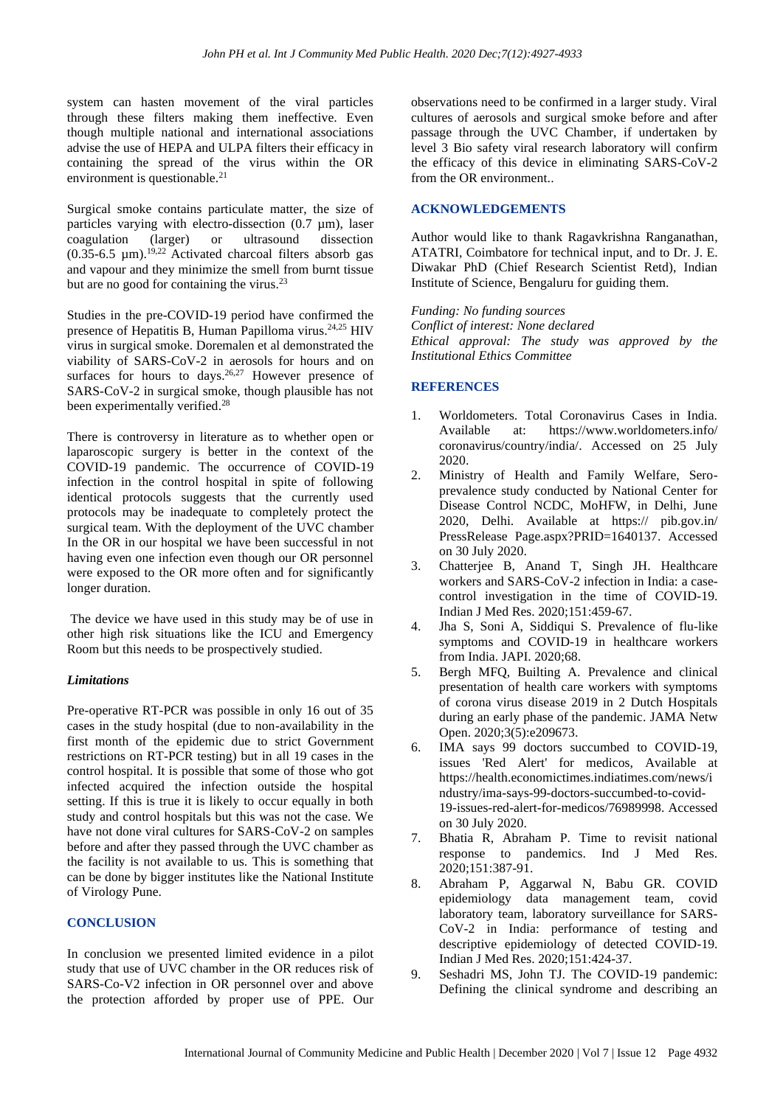system can hasten movement of the viral particles through these filters making them ineffective. Even though multiple national and international associations advise the use of HEPA and ULPA filters their efficacy in containing the spread of the virus within the OR environment is questionable.<sup>21</sup>

Surgical smoke contains particulate matter, the size of particles varying with electro-dissection (0.7 µm), laser coagulation (larger) or ultrasound dissection  $(0.35-6.5 \mu m).$ <sup>19,22</sup> Activated charcoal filters absorb gas and vapour and they minimize the smell from burnt tissue but are no good for containing the virus.<sup>23</sup>

Studies in the pre-COVID-19 period have confirmed the presence of Hepatitis B, Human Papilloma virus. 24,25 HIV virus in surgical smoke. Doremalen et al demonstrated the viability of SARS-CoV-2 in aerosols for hours and on surfaces for hours to days.<sup>26,27</sup> However presence of SARS-CoV-2 in surgical smoke, though plausible has not been experimentally verified.<sup>28</sup>

There is controversy in literature as to whether open or laparoscopic surgery is better in the context of the COVID-19 pandemic. The occurrence of COVID-19 infection in the control hospital in spite of following identical protocols suggests that the currently used protocols may be inadequate to completely protect the surgical team. With the deployment of the UVC chamber In the OR in our hospital we have been successful in not having even one infection even though our OR personnel were exposed to the OR more often and for significantly longer duration.

The device we have used in this study may be of use in other high risk situations like the ICU and Emergency Room but this needs to be prospectively studied.

### *Limitations*

Pre-operative RT-PCR was possible in only 16 out of 35 cases in the study hospital (due to non-availability in the first month of the epidemic due to strict Government restrictions on RT-PCR testing) but in all 19 cases in the control hospital. It is possible that some of those who got infected acquired the infection outside the hospital setting. If this is true it is likely to occur equally in both study and control hospitals but this was not the case. We have not done viral cultures for SARS-CoV-2 on samples before and after they passed through the UVC chamber as the facility is not available to us. This is something that can be done by bigger institutes like the National Institute of Virology Pune.

### **CONCLUSION**

In conclusion we presented limited evidence in a pilot study that use of UVC chamber in the OR reduces risk of SARS-Co-V2 infection in OR personnel over and above the protection afforded by proper use of PPE. Our

observations need to be confirmed in a larger study. Viral cultures of aerosols and surgical smoke before and after passage through the UVC Chamber, if undertaken by level 3 Bio safety viral research laboratory will confirm the efficacy of this device in eliminating SARS-CoV-2 from the OR environment..

#### **ACKNOWLEDGEMENTS**

Author would like to thank Ragavkrishna Ranganathan, ATATRI, Coimbatore for technical input, and to Dr. J. E. Diwakar PhD (Chief Research Scientist Retd), Indian Institute of Science, Bengaluru for guiding them.

*Funding: No funding sources Conflict of interest: None declared Ethical approval: The study was approved by the Institutional Ethics Committee*

### **REFERENCES**

- 1. Worldometers. Total Coronavirus Cases in India. Available at: https://www.worldometers.info/ coronavirus/country/india/. Accessed on 25 July 2020.
- 2. Ministry of Health and Family Welfare, Seroprevalence study conducted by National Center for Disease Control NCDC, MoHFW, in Delhi, June 2020, Delhi. Available at https:// pib.gov.in/ PressRelease Page.aspx?PRID=1640137. Accessed on 30 July 2020.
- 3. Chatterjee B, Anand T, Singh JH. Healthcare workers and SARS-CoV-2 infection in India: a casecontrol investigation in the time of COVID-19. Indian J Med Res. 2020;151:459-67.
- 4. Jha S, Soni A, Siddiqui S. Prevalence of flu-like symptoms and COVID-19 in healthcare workers from India. JAPI. 2020;68.
- 5. Bergh MFQ, Builting A. Prevalence and clinical presentation of health care workers with symptoms of corona virus disease 2019 in 2 Dutch Hospitals during an early phase of the pandemic. JAMA Netw Open. 2020;3(5):e209673.
- 6. IMA says 99 doctors succumbed to COVID-19, issues 'Red Alert' for medicos, Available at https://health.economictimes.indiatimes.com/news/i ndustry/ima-says-99-doctors-succumbed-to-covid-19-issues-red-alert-for-medicos/76989998. Accessed on 30 July 2020.
- 7. Bhatia R, Abraham P. Time to revisit national response to pandemics. Ind J Med Res. 2020;151:387-91.
- 8. Abraham P, Aggarwal N, Babu GR. COVID epidemiology data management team, covid laboratory team, laboratory surveillance for SARS-CoV-2 in India: performance of testing and descriptive epidemiology of detected COVID-19. Indian J Med Res. 2020;151:424-37.
- 9. Seshadri MS, John TJ. The COVID-19 pandemic: Defining the clinical syndrome and describing an